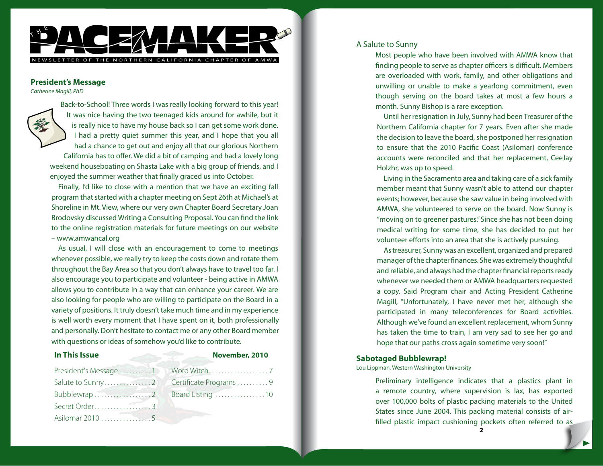

### **President's Message**

*Catherine Magill, PhD*



Back-to-School! Three words I was really looking forward to this year! It was nice having the two teenaged kids around for awhile, but it is really nice to have my house back so I can get some work done. I had a pretty quiet summer this year, and I hope that you all had a chance to get out and enjoy all that our glorious Northern California has to offer. We did a bit of camping and had a lovely long weekend houseboating on Shasta Lake with a big group of friends, and I enjoyed the summer weather that finally graced us into October.

Finally, I'd like to close with a mention that we have an exciting fall program that started with a chapter meeting on Sept 26th at Michael's at Shoreline in Mt. View, where our very own Chapter Board Secretary Joan Brodovsky discussed Writing a Consulting Proposal. You can find the link to the online registration materials for future meetings on our website – www.amwancal.org

As usual, I will close with an encouragement to come to meetings whenever possible, we really try to keep the costs down and rotate them throughout the Bay Area so that you don't always have to travel too far. I also encourage you to participate and volunteer - being active in AMWA allows you to contribute in a way that can enhance your career. We are also looking for people who are willing to participate on the Board in a variety of positions. It truly doesn't take much time and in my experience is well worth every moment that I have spent on it, both professionally and personally. Don't hesitate to contact me or any other Board member with questions or ideas of somehow you'd like to contribute.

**In This Issue November, 2010** 

| President's Message 1 |  |
|-----------------------|--|
|                       |  |
|                       |  |
|                       |  |
| Asilomar 2010 5       |  |

| Certificate Programs9 |  |
|-----------------------|--|
| Board Listing 10      |  |

### A Salute to Sunny

Most people who have been involved with AMWA know that finding people to serve as chapter officers is difficult. Members are overloaded with work, family, and other obligations and unwilling or unable to make a yearlong commitment, even though serving on the board takes at most a few hours a month. Sunny Bishop is a rare exception.

Until her resignation in July, Sunny had been Treasurer of the Northern California chapter for 7 years. Even after she made the decision to leave the board, she postponed her resignation to ensure that the 2010 Pacific Coast (Asilomar) conference accounts were reconciled and that her replacement, CeeJay Holzhr, was up to speed.

Living in the Sacramento area and taking care of a sick family member meant that Sunny wasn't able to attend our chapter events; however, because she saw value in being involved with AMWA, she volunteered to serve on the board. Now Sunny is "moving on to greener pastures." Since she has not been doing medical writing for some time, she has decided to put her volunteer efforts into an area that she is actively pursuing.

As treasurer, Sunny was an excellent, organized and prepared manager of the chapter finances. She was extremely thoughtful and reliable, and always had the chapter financial reports ready whenever we needed them or AMWA headquarters requested a copy. Said Program chair and Acting President Catherine Magill, "Unfortunately, I have never met her, although she participated in many teleconferences for Board activities. Although we've found an excellent replacement, whom Sunny has taken the time to train, I am very sad to see her go and hope that our paths cross again sometime very soon!"

## **Sabotaged Bubblewrap!**

Lou Lippman, Western Washington University

Preliminary intelligence indicates that a plastics plant in a remote country, where supervision is lax, has exported over 100,000 bolts of plastic packing materials to the United States since June 2004. This packing material consists of airfilled plastic impact cushioning pockets often referred to as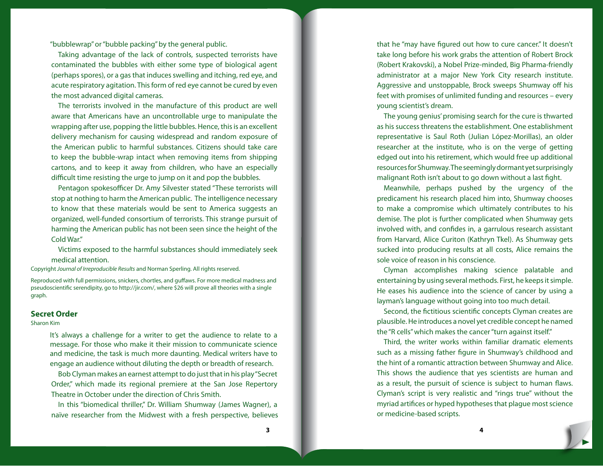"bubblewrap" or "bubble packing" by the general public.

Taking advantage of the lack of controls, suspected terrorists have contaminated the bubbles with either some type of biological agent (perhaps spores), or a gas that induces swelling and itching, red eye, and acute respiratory agitation. This form of red eye cannot be cured by even the most advanced digital cameras.

The terrorists involved in the manufacture of this product are well aware that Americans have an uncontrollable urge to manipulate the wrapping after use, popping the little bubbles. Hence, this is an excellent delivery mechanism for causing widespread and random exposure of the American public to harmful substances. Citizens should take care to keep the bubble-wrap intact when removing items from shipping cartons, and to keep it away from children, who have an especially difficult time resisting the urge to jump on it and pop the bubbles.

Pentagon spokesofficer Dr. Amy Silvester stated "These terrorists will stop at nothing to harm the American public. The intelligence necessary to know that these materials would be sent to America suggests an organized, well-funded consortium of terrorists. This strange pursuit of harming the American public has not been seen since the height of the Cold War."

Victims exposed to the harmful substances should immediately seek medical attention.

Copyright *Journal of Irreproducible Results* and Norman Sperling. All rights reserved.

Reproduced with full permissions, snickers, chortles, and guffaws. For more medical madness and pseudoscientific serendipity, go to http://jir.com/, where \$26 will prove all theories with a single graph.

#### **Secret Order**

#### Sharon Kim

It's always a challenge for a writer to get the audience to relate to a message. For those who make it their mission to communicate science and medicine, the task is much more daunting. Medical writers have to engage an audience without diluting the depth or breadth of research.

Bob Clyman makes an earnest attempt to do just that in his play "Secret Order," which made its regional premiere at the San Jose Repertory Theatre in October under the direction of Chris Smith.

In this "biomedical thriller," Dr. William Shumway (James Wagner), a naïve researcher from the Midwest with a fresh perspective, believes that he "may have figured out how to cure cancer." It doesn't take long before his work grabs the attention of Robert Brock (Robert Krakovski), a Nobel Prize-minded, Big Pharma-friendly administrator at a major New York City research institute. Aggressive and unstoppable, Brock sweeps Shumway off his feet with promises of unlimited funding and resources – every young scientist's dream.

The young genius' promising search for the cure is thwarted as his success threatens the establishment. One establishment representative is Saul Roth (Julian López-Morillas), an older researcher at the institute, who is on the verge of getting edged out into his retirement, which would free up additional resources for Shumway. The seemingly dormant yet surprisingly malignant Roth isn't about to go down without a last fight.

Meanwhile, perhaps pushed by the urgency of the predicament his research placed him into, Shumway chooses to make a compromise which ultimately contributes to his demise. The plot is further complicated when Shumway gets involved with, and confides in, a garrulous research assistant from Harvard, Alice Curiton (Kathryn Tkel). As Shumway gets sucked into producing results at all costs, Alice remains the sole voice of reason in his conscience.

Clyman accomplishes making science palatable and entertaining by using several methods. First, he keeps it simple. He eases his audience into the science of cancer by using a layman's language without going into too much detail.

Second, the fictitious scientific concepts Clyman creates are plausible. He introduces a novel yet credible concept he named the "R cells" which makes the cancer "turn against itself."

Third, the writer works within familiar dramatic elements such as a missing father figure in Shumway's childhood and the hint of a romantic attraction between Shumway and Alice. This shows the audience that yes scientists are human and as a result, the pursuit of science is subject to human flaws. Clyman's script is very realistic and "rings true" without the myriad artifices or hyped hypotheses that plague most science or medicine-based scripts.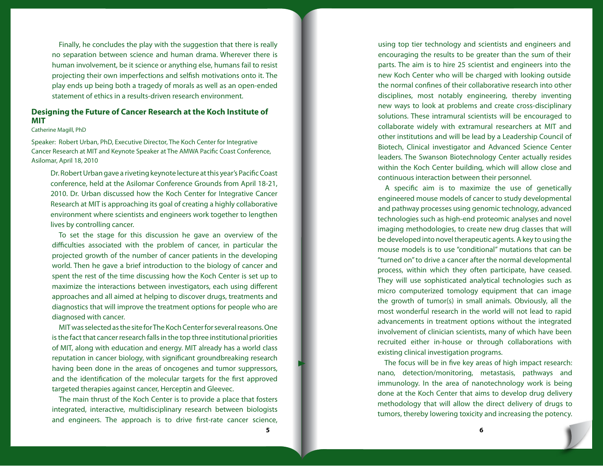Finally, he concludes the play with the suggestion that there is really no separation between science and human drama. Wherever there is human involvement, be it science or anything else, humans fail to resist projecting their own imperfections and selfish motivations onto it. The play ends up being both a tragedy of morals as well as an open-ended statement of ethics in a results-driven research environment.

# **Designing the Future of Cancer Research at the Koch Institute of MIT**

Catherine Magill, PhD

Speaker: Robert Urban, PhD, Executive Director, The Koch Center for Integrative Cancer Research at MIT and Keynote Speaker at The AMWA Pacific Coast Conference, Asilomar, April 18, 2010

Dr. Robert Urban gave a riveting keynote lecture at this year's Pacific Coast conference, held at the Asilomar Conference Grounds from April 18-21, 2010. Dr. Urban discussed how the Koch Center for Integrative Cancer Research at MIT is approaching its goal of creating a highly collaborative environment where scientists and engineers work together to lengthen lives by controlling cancer.

To set the stage for this discussion he gave an overview of the difficulties associated with the problem of cancer, in particular the projected growth of the number of cancer patients in the developing world. Then he gave a brief introduction to the biology of cancer and spent the rest of the time discussing how the Koch Center is set up to maximize the interactions between investigators, each using different approaches and all aimed at helping to discover drugs, treatments and diagnostics that will improve the treatment options for people who are diagnosed with cancer.

MIT was selected as the site for The Koch Center for several reasons. One is the fact that cancer research falls in the top three institutional priorities of MIT, along with education and energy. MIT already has a world class reputation in cancer biology, with significant groundbreaking research having been done in the areas of oncogenes and tumor suppressors, and the identification of the molecular targets for the first approved targeted therapies against cancer, Herceptin and Gleevec.

The main thrust of the Koch Center is to provide a place that fosters integrated, interactive, multidisciplinary research between biologists and engineers. The approach is to drive first-rate cancer science,

using top tier technology and scientists and engineers and encouraging the results to be greater than the sum of their parts. The aim is to hire 25 scientist and engineers into the new Koch Center who will be charged with looking outside the normal confines of their collaborative research into other disciplines, most notably engineering, thereby inventing new ways to look at problems and create cross-disciplinary solutions. These intramural scientists will be encouraged to collaborate widely with extramural researchers at MIT and other institutions and will be lead by a Leadership Council of Biotech, Clinical investigator and Advanced Science Center leaders. The Swanson Biotechnology Center actually resides within the Koch Center building, which will allow close and continuous interaction between their personnel.

A specific aim is to maximize the use of genetically engineered mouse models of cancer to study developmental and pathway processes using genomic technology, advanced technologies such as high-end proteomic analyses and novel imaging methodologies, to create new drug classes that will be developed into novel therapeutic agents. A key to using the mouse models is to use "conditional" mutations that can be "turned on" to drive a cancer after the normal developmental process, within which they often participate, have ceased. They will use sophisticated analytical technologies such as micro computerized tomology equipment that can image the growth of tumor(s) in small animals. Obviously, all the most wonderful research in the world will not lead to rapid advancements in treatment options without the integrated involvement of clinician scientists, many of which have been recruited either in-house or through collaborations with existing clinical investigation programs.

The focus will be in five key areas of high impact research: nano, detection/monitoring, metastasis, pathways and immunology. In the area of nanotechnology work is being done at the Koch Center that aims to develop drug delivery methodology that will allow the direct delivery of drugs to tumors, thereby lowering toxicity and increasing the potency.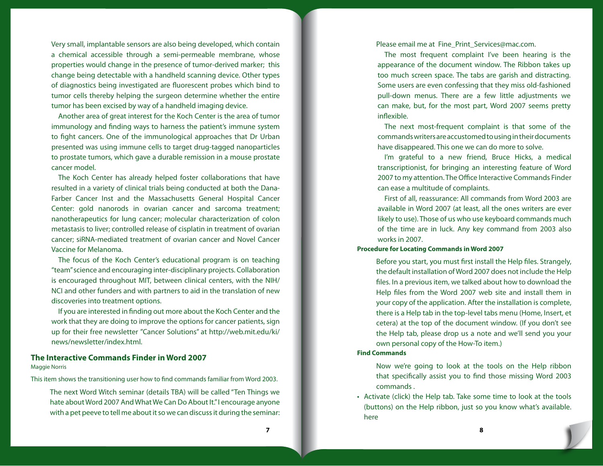Very small, implantable sensors are also being developed, which contain a chemical accessible through a semi-permeable membrane, whose properties would change in the presence of tumor-derived marker; this change being detectable with a handheld scanning device. Other types of diagnostics being investigated are fluorescent probes which bind to tumor cells thereby helping the surgeon determine whether the entire tumor has been excised by way of a handheld imaging device.

Another area of great interest for the Koch Center is the area of tumor immunology and finding ways to harness the patient's immune system to fight cancers. One of the immunological approaches that Dr Urban presented was using immune cells to target drug-tagged nanoparticles to prostate tumors, which gave a durable remission in a mouse prostate cancer model.

The Koch Center has already helped foster collaborations that have resulted in a variety of clinical trials being conducted at both the Dana-Farber Cancer Inst and the Massachusetts General Hospital Cancer Center: gold nanorods in ovarian cancer and sarcoma treatment; nanotherapeutics for lung cancer; molecular characterization of colon metastasis to liver; controlled release of cisplatin in treatment of ovarian cancer; siRNA-mediated treatment of ovarian cancer and Novel Cancer Vaccine for Melanoma.

The focus of the Koch Center's educational program is on teaching "team" science and encouraging inter-disciplinary projects. Collaboration is encouraged throughout MIT, between clinical centers, with the NIH/ NCI and other funders and with partners to aid in the translation of new discoveries into treatment options.

If you are interested in finding out more about the Koch Center and the work that they are doing to improve the options for cancer patients, sign up for their free newsletter "Cancer Solutions" at [http://web.mit.edu/ki/](http://web.mit.edu/ki/news/newsletter/index.html) [news/newsletter/index.html.](http://web.mit.edu/ki/news/newsletter/index.html)

#### **The Interactive Commands Finder in Word 2007** Maggie Norris

This item shows the transitioning user how to find commands familiar from Word 2003.

The next Word Witch seminar (details TBA) will be called "Ten Things we hate about Word 2007 And What We Can Do About It." I encourage anyone with a pet peeve to tell me about it so we can discuss it during the seminar: Please email me at Fine Print Services@mac.com.

The most frequent complaint I've been hearing is the appearance of the document window. The Ribbon takes up too much screen space. The tabs are garish and distracting. Some users are even confessing that they miss old-fashioned pull-down menus. There are a few little adjustments we can make, but, for the most part, Word 2007 seems pretty inflexible.

The next most-frequent complaint is that some of the commands writers are accustomed to using in their documents have disappeared. This one we can do more to solve.

I'm grateful to a new friend, Bruce Hicks, a medical transcriptionist, for bringing an interesting feature of Word 2007 to my attention. The Office Interactive Commands Finder can ease a multitude of complaints.

First of all, reassurance: All commands from Word 2003 are available in Word 2007 (at least, all the ones writers are ever likely to use). Those of us who use keyboard commands much of the time are in luck. Any key command from 2003 also works in 2007.

#### **Procedure for Locating Commands in Word 2007**

Before you start, you must first install the Help files. Strangely, the default installation of Word 2007 does not include the Help files. In a previous item, we talked about how to download the Help files from the Word 2007 web site and install them in your copy of the application. After the installation is complete, there is a Help tab in the top-level tabs menu (Home, Insert, et cetera) at the top of the document window. (If you don't see the Help tab, please drop us a note and we'll send you your own personal copy of the How-To item.)

#### **Find Commands**

Now we're going to look at the tools on the Help ribbon that specifically assist you to find those missing Word 2003 commands .

• Activate (click) the Help tab. Take some time to look at the tools (buttons) on the Help ribbon, just so you know what's available. here